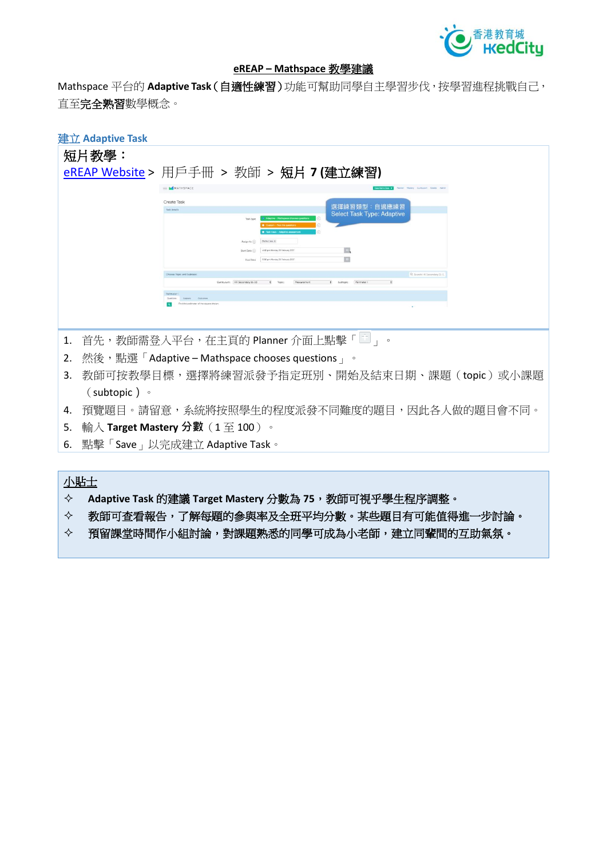

#### **eREAP – Mathspace 教學建議**

Mathspace **平台的 Adaptive Task(自適性練習)功能可幫助同學自主學習步伐,按學習進程挑戰自己, 直至完全熟習數學概念。**

| 建立 Adaptive Task                                          |                                 |                                           |  |
|-----------------------------------------------------------|---------------------------------|-------------------------------------------|--|
| 短片教學:                                                     |                                 |                                           |  |
| eREAP Website > 用戶手冊 > 教師 > 短片 7 (建立練習)                   |                                 |                                           |  |
|                                                           | MATHSPACE                       | Plenner, Mastery, Curriculum, Grades      |  |
|                                                           | Create Task                     | 選擇練習類型:自適應練習                              |  |
|                                                           | Task details                    | <b>Select Task Type: Adaptive</b>         |  |
|                                                           |                                 |                                           |  |
|                                                           | Maths Class X<br>Assign to (ii) | 4.42 pm Monday 20 February 201            |  |
|                                                           | Start Date (1)<br>Due Diste     | 區<br>D.<br>5:00 pm Monday 20 February 205 |  |
| Choose Topic and Subtopic<br>Q. Search HK Secondary St-S. |                                 |                                           |  |
| Curriculum:   HK Secondary \$1-53                         |                                 |                                           |  |
| Find the perimeter of the square show                     |                                 |                                           |  |
|                                                           |                                 |                                           |  |
|                                                           |                                 |                                           |  |
| 首先,教師需登入平台,在主頁的 Planner 介面上點擊「二」。<br>1.                   |                                 |                                           |  |
| 然後,點選「Adaptive – Mathspace chooses questions 」。<br>2.     |                                 |                                           |  |
| 教師可按教學目標,選擇將練習派發予指定班別、開始及結束日期、課題(topic)或小課題<br>3.         |                                 |                                           |  |
| $(subtopic)$ $\circ$                                      |                                 |                                           |  |
| 預覽題目。請留意,系統將按照學生的程度派發不同難度的題目,因此各人做的題目會不同。<br>4.           |                                 |                                           |  |
| 輸入 Target Mastery 分數(1 至 100 )。<br>.5.                    |                                 |                                           |  |
| 點擊「Save」以完成建立 Adaptive Task。<br>6.                        |                                 |                                           |  |

# **小貼士**

- **Adaptive Task 的建議 Target Mastery 分數為 75,教師可視乎學生程序調整。**
- **教師可查看報告,了解每題的參與率及全班平均分數。某些題目有可能值得進一步討論。**
- **預留課堂時間作小組討論,對課題熟悉的同學可成為小老師,建立同輩間的互助氣氛。**